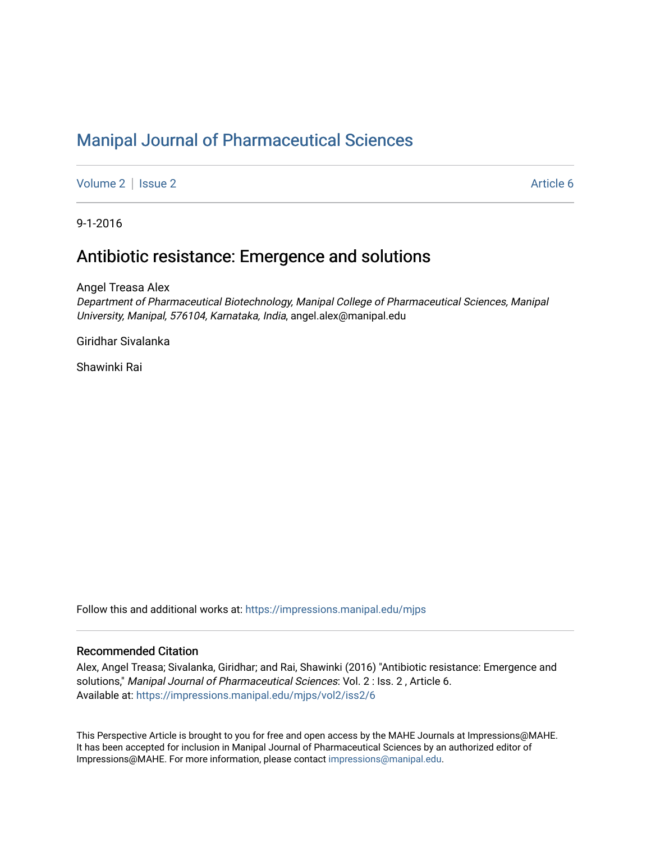# [Manipal Journal of Pharmaceutical Sciences](https://impressions.manipal.edu/mjps)

[Volume 2](https://impressions.manipal.edu/mjps/vol2) | [Issue 2](https://impressions.manipal.edu/mjps/vol2/iss2) Article 6

9-1-2016

# Antibiotic resistance: Emergence and solutions

Angel Treasa Alex

Department of Pharmaceutical Biotechnology, Manipal College of Pharmaceutical Sciences, Manipal University, Manipal, 576104, Karnataka, India, angel.alex@manipal.edu

Giridhar Sivalanka

Shawinki Rai

Follow this and additional works at: [https://impressions.manipal.edu/mjps](https://impressions.manipal.edu/mjps?utm_source=impressions.manipal.edu%2Fmjps%2Fvol2%2Fiss2%2F6&utm_medium=PDF&utm_campaign=PDFCoverPages)

#### Recommended Citation

Alex, Angel Treasa; Sivalanka, Giridhar; and Rai, Shawinki (2016) "Antibiotic resistance: Emergence and solutions," Manipal Journal of Pharmaceutical Sciences: Vol. 2 : Iss. 2 , Article 6. Available at: [https://impressions.manipal.edu/mjps/vol2/iss2/6](https://impressions.manipal.edu/mjps/vol2/iss2/6?utm_source=impressions.manipal.edu%2Fmjps%2Fvol2%2Fiss2%2F6&utm_medium=PDF&utm_campaign=PDFCoverPages)

This Perspective Article is brought to you for free and open access by the MAHE Journals at Impressions@MAHE. It has been accepted for inclusion in Manipal Journal of Pharmaceutical Sciences by an authorized editor of Impressions@MAHE. For more information, please contact [impressions@manipal.edu](mailto:impressions@manipal.edu).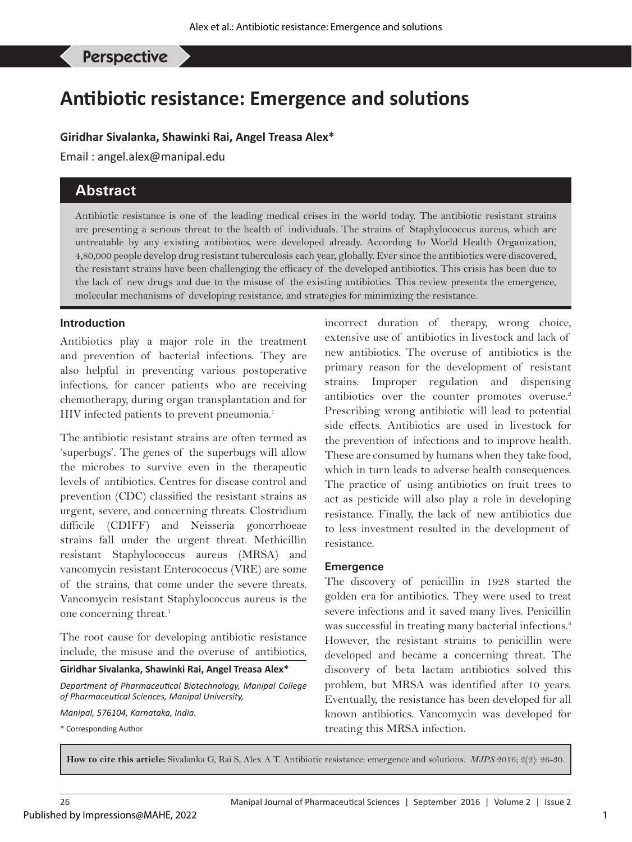$A$ lex AT, et al: Antibiotic resistance: emergence and solutions and solutions and solutions and solutions and solutions and solutions are expected and solutions and solutions are experimental and solutions are experiment

Perspective

# **Antibiotic resistance: Emergence and solutions**

#### **Giridhar Sivalanka, Shawinki Rai, Angel Treasa Alex\***

Email : angel.alex@manipal.edu

# **Abstract**

Antibiotic resistance is one of the leading medical crises in the world today. The antibiotic resistant strains are presenting a serious threat to the health of individuals. The strains of Staphylococcus aureus, which are untreatable by any existing antibiotics, were developed already. According to World Health Organization, 4,80,000 people develop drug resistant tuberculosis each year, globally. Ever since the antibiotics were discovered, the resistant strains have been challenging the efficacy of the developed antibiotics. This crisis has been due to the lack of new drugs and due to the misuse of the existing antibiotics. This review presents the emergence, molecular mechanisms of developing resistance, and strategies for minimizing the resistance.

#### **Introduction**

Antibiotics play a major role in the treatment and prevention of bacterial infections. They are also helpful in preventing various postoperative infections, for cancer patients who are receiving chemotherapy, during organ transplantation and for HIV infected patients to prevent pneumonia.<sup>1</sup>

The antibiotic resistant strains are often termed as 'superbugs'. The genes of the superbugs will allow the microbes to survive even in the therapeutic levels of antibiotics. Centres for disease control and prevention (CDC) classified the resistant strains as urgent, severe, and concerning threats. Clostridium difficile (CDIFF) and Neisseria gonorrhoeae strains fall under the urgent threat. Methicillin resistant Staphylococcus aureus (MRSA) and vancomycin resistant Enterococcus (VRE) are some of the strains, that come under the severe threats. Vancomycin resistant Staphylococcus aureus is the one concerning threat.<sup>1</sup>

The root cause for developing antibiotic resistance include, the misuse and the overuse of antibiotics,

#### **Giridhar Sivalanka, Shawinki Rai, Angel Treasa Alex\***

*Department of Pharmaceutical Biotechnology, Manipal College of Pharmaceutical Sciences, Manipal University,* 

*Manipal, 576104, Karnataka, India.*

\* Corresponding Author

incorrect duration of therapy, wrong choice, extensive use of antibiotics in livestock and lack of new antibiotics. The overuse of antibiotics is the primary reason for the development of resistant strains. Improper regulation and dispensing antibiotics over the counter promotes overuse.<sup>2</sup> Prescribing wrong antibiotic will lead to potential side effects. Antibiotics are used in livestock for the prevention of infections and to improve health. These are consumed by humans when they take food, which in turn leads to adverse health consequences. The practice of using antibiotics on fruit trees to act as pesticide will also play a role in developing resistance. Finally, the lack of new antibiotics due to less investment resulted in the development of resistance.

#### **Emergence**

The discovery of penicillin in 1928 started the golden era for antibiotics. They were used to treat severe infections and it saved many lives. Penicillin was successful in treating many bacterial infections.<sup>3</sup> However, the resistant strains to penicillin were developed and became a concerning threat. The discovery of beta lactam antibiotics solved this problem, but MRSA was identified after 10 years. Eventually, the resistance has been developed for all known antibiotics. Vancomycin was developed for treating this MRSA infection.

**How to cite this article:** Sivalanka G, Rai S, Alex A.T. Antibiotic resistance: emergence and solutions. *MJPS* 2016; 2(2): 26-30.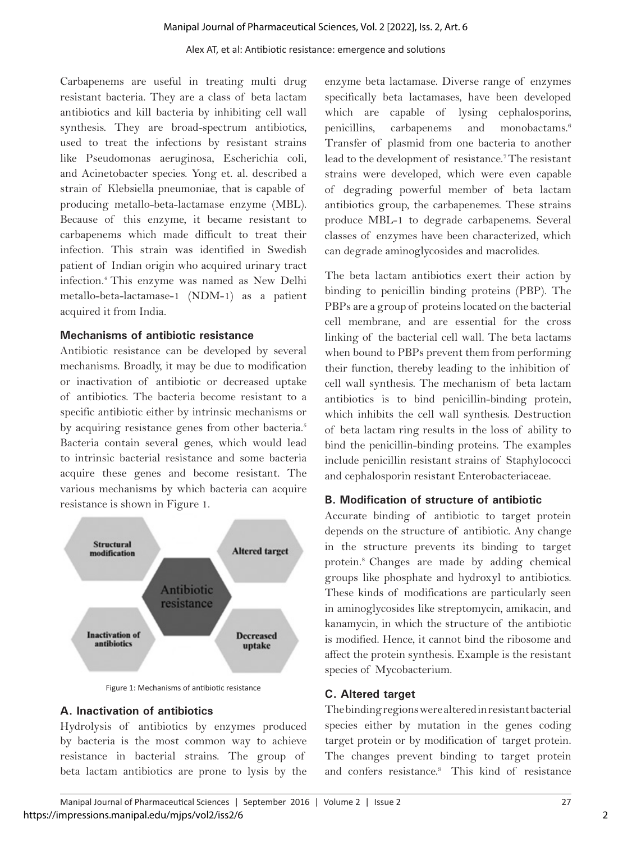#### Alex AT, et al: Antibiotic resistance: emergence and solutions

Carbapenems are useful in treating multi drug resistant bacteria. They are a class of beta lactam antibiotics and kill bacteria by inhibiting cell wall synthesis. They are broad-spectrum antibiotics, used to treat the infections by resistant strains like Pseudomonas aeruginosa, Escherichia coli, and Acinetobacter species. Yong et. al. described a strain of Klebsiella pneumoniae, that is capable of producing metallo-beta-lactamase enzyme (MBL). Because of this enzyme, it became resistant to carbapenems which made difficult to treat their infection. This strain was identified in Swedish patient of Indian origin who acquired urinary tract infection.4 This enzyme was named as New Delhi metallo-beta-lactamase-1 (NDM-1) as a patient acquired it from India.

#### **Mechanisms of antibiotic resistance**

Antibiotic resistance can be developed by several mechanisms. Broadly, it may be due to modification or inactivation of antibiotic or decreased uptake of antibiotics. The bacteria become resistant to a specific antibiotic either by intrinsic mechanisms or by acquiring resistance genes from other bacteria.<sup>5</sup> Bacteria contain several genes, which would lead to intrinsic bacterial resistance and some bacteria acquire these genes and become resistant. The various mechanisms by which bacteria can acquire resistance is shown in Figure 1.



Figure 1: Mechanisms of antibiotic resistance

#### **A. Inactivation of antibiotics**

Hydrolysis of antibiotics by enzymes produced by bacteria is the most common way to achieve resistance in bacterial strains. The group of beta lactam antibiotics are prone to lysis by the

enzyme beta lactamase. Diverse range of enzymes specifically beta lactamases, have been developed which are capable of lysing cephalosporins, penicillins, carbapenems and monobactams.6 Transfer of plasmid from one bacteria to another lead to the development of resistance.<sup>7</sup> The resistant strains were developed, which were even capable of degrading powerful member of beta lactam antibiotics group, the carbapenemes. These strains produce MBL-1 to degrade carbapenems. Several classes of enzymes have been characterized, which can degrade aminoglycosides and macrolides.

The beta lactam antibiotics exert their action by binding to penicillin binding proteins (PBP). The PBPs are a group of proteins located on the bacterial cell membrane, and are essential for the cross linking of the bacterial cell wall. The beta lactams when bound to PBPs prevent them from performing their function, thereby leading to the inhibition of cell wall synthesis. The mechanism of beta lactam antibiotics is to bind penicillin-binding protein, which inhibits the cell wall synthesis. Destruction of beta lactam ring results in the loss of ability to bind the penicillin-binding proteins. The examples include penicillin resistant strains of Staphylococci and cephalosporin resistant Enterobacteriaceae.

#### **B. Modification of structure of antibiotic**

Accurate binding of antibiotic to target protein depends on the structure of antibiotic. Any change in the structure prevents its binding to target protein.8 Changes are made by adding chemical groups like phosphate and hydroxyl to antibiotics. These kinds of modifications are particularly seen in aminoglycosides like streptomycin, amikacin, and kanamycin, in which the structure of the antibiotic is modified. Hence, it cannot bind the ribosome and affect the protein synthesis. Example is the resistant species of Mycobacterium.

#### **C. Altered target**

The binding regions were altered in resistant bacterial species either by mutation in the genes coding target protein or by modification of target protein. The changes prevent binding to target protein and confers resistance.<sup>9</sup> This kind of resistance

2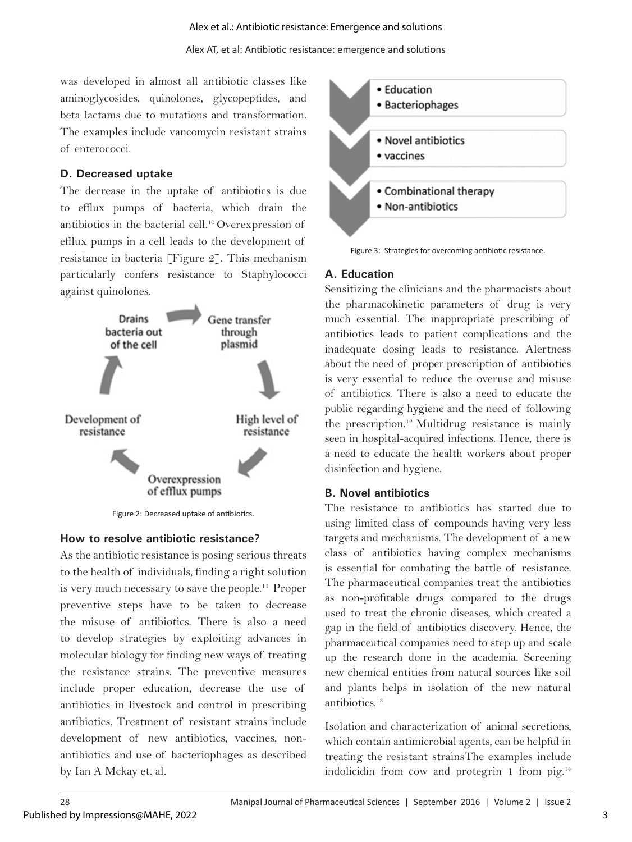#### Alex et al.: Antibiotic resistance: Emergence and solutions

was developed in almost all antibiotic classes like aminoglycosides, quinolones, glycopeptides, and beta lactams due to mutations and transformation. The examples include vancomycin resistant strains of enterococci.

#### **D. Decreased uptake**

The decrease in the uptake of antibiotics is due to efflux pumps of bacteria, which drain the antibiotics in the bacterial cell.10 Overexpression of efflux pumps in a cell leads to the development of resistance in bacteria [Figure 2]. This mechanism particularly confers resistance to Staphylococci against quinolones.



Figure 2: Decreased uptake of antibiotics.

#### **How to resolve antibiotic resistance?**

As the antibiotic resistance is posing serious threats to the health of individuals, finding a right solution is very much necessary to save the people.11 Proper preventive steps have to be taken to decrease the misuse of antibiotics. There is also a need to develop strategies by exploiting advances in molecular biology for finding new ways of treating the resistance strains. The preventive measures include proper education, decrease the use of antibiotics in livestock and control in prescribing antibiotics. Treatment of resistant strains include development of new antibiotics, vaccines, nonantibiotics and use of bacteriophages as described by Ian A Mckay et. al.



Figure 3: Strategies for overcoming antibiotic resistance.

#### **A. Education**

Sensitizing the clinicians and the pharmacists about the pharmacokinetic parameters of drug is very much essential. The inappropriate prescribing of antibiotics leads to patient complications and the inadequate dosing leads to resistance. Alertness about the need of proper prescription of antibiotics is very essential to reduce the overuse and misuse of antibiotics. There is also a need to educate the public regarding hygiene and the need of following the prescription.12 Multidrug resistance is mainly seen in hospital-acquired infections. Hence, there is a need to educate the health workers about proper disinfection and hygiene.

#### **B. Novel antibiotics**

The resistance to antibiotics has started due to using limited class of compounds having very less targets and mechanisms. The development of a new class of antibiotics having complex mechanisms is essential for combating the battle of resistance. The pharmaceutical companies treat the antibiotics as non-profitable drugs compared to the drugs used to treat the chronic diseases, which created a gap in the field of antibiotics discovery. Hence, the pharmaceutical companies need to step up and scale up the research done in the academia. Screening new chemical entities from natural sources like soil and plants helps in isolation of the new natural antibiotics.13

Isolation and characterization of animal secretions, which contain antimicrobial agents, can be helpful in treating the resistant strainsThe examples include indolicidin from cow and protegrin 1 from pig.<sup>14</sup>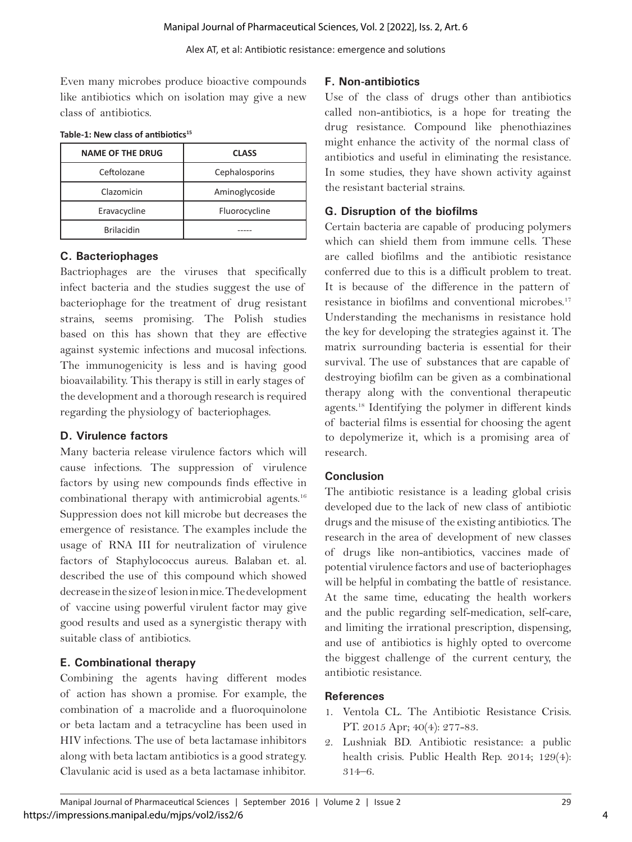Even many microbes produce bioactive compounds like antibiotics which on isolation may give a new class of antibiotics.

| <b>NAME OF THE DRUG</b> | <b>CLASS</b>   |
|-------------------------|----------------|
| Ceftolozane             | Cephalosporins |
| Clazomicin              | Aminoglycoside |
| Eravacycline            | Fluorocycline  |
| <b>Brilacidin</b>       |                |

#### **Table-1: New class of antibiotics15**

## **C. Bacteriophages**

Bactriophages are the viruses that specifically infect bacteria and the studies suggest the use of bacteriophage for the treatment of drug resistant strains, seems promising. The Polish studies based on this has shown that they are effective against systemic infections and mucosal infections. The immunogenicity is less and is having good bioavailability. This therapy is still in early stages of the development and a thorough research is required regarding the physiology of bacteriophages.

#### **D. Virulence factors**

Many bacteria release virulence factors which will cause infections. The suppression of virulence factors by using new compounds finds effective in combinational therapy with antimicrobial agents.16 Suppression does not kill microbe but decreases the emergence of resistance. The examples include the usage of RNA III for neutralization of virulence factors of Staphylococcus aureus. Balaban et. al. described the use of this compound which showed decrease in the size of lesion in mice. The development of vaccine using powerful virulent factor may give good results and used as a synergistic therapy with suitable class of antibiotics.

# **E. Combinational therapy**

Combining the agents having different modes of action has shown a promise. For example, the combination of a macrolide and a fluoroquinolone or beta lactam and a tetracycline has been used in HIV infections. The use of beta lactamase inhibitors along with beta lactam antibiotics is a good strategy. Clavulanic acid is used as a beta lactamase inhibitor.

#### **F. Non-antibiotics**

Use of the class of drugs other than antibiotics called non-antibiotics, is a hope for treating the drug resistance. Compound like phenothiazines might enhance the activity of the normal class of antibiotics and useful in eliminating the resistance. In some studies, they have shown activity against the resistant bacterial strains.

## **G. Disruption of the biofilms**

Certain bacteria are capable of producing polymers which can shield them from immune cells. These are called biofilms and the antibiotic resistance conferred due to this is a difficult problem to treat. It is because of the difference in the pattern of resistance in biofilms and conventional microbes.<sup>17</sup> Understanding the mechanisms in resistance hold the key for developing the strategies against it. The matrix surrounding bacteria is essential for their survival. The use of substances that are capable of destroying biofilm can be given as a combinational therapy along with the conventional therapeutic agents.18 Identifying the polymer in different kinds of bacterial films is essential for choosing the agent to depolymerize it, which is a promising area of research.

# **Conclusion**

The antibiotic resistance is a leading global crisis developed due to the lack of new class of antibiotic drugs and the misuse of the existing antibiotics. The research in the area of development of new classes of drugs like non-antibiotics, vaccines made of potential virulence factors and use of bacteriophages will be helpful in combating the battle of resistance. At the same time, educating the health workers and the public regarding self-medication, self-care, and limiting the irrational prescription, dispensing, and use of antibiotics is highly opted to overcome the biggest challenge of the current century, the antibiotic resistance.

#### **References**

- 1. Ventola CL. The Antibiotic Resistance Crisis. PT. 2015 Apr; 40(4): 277-83.
- 2. Lushniak BD. Antibiotic resistance: a public health crisis. Public Health Rep. 2014; 129(4): 314–6.

4